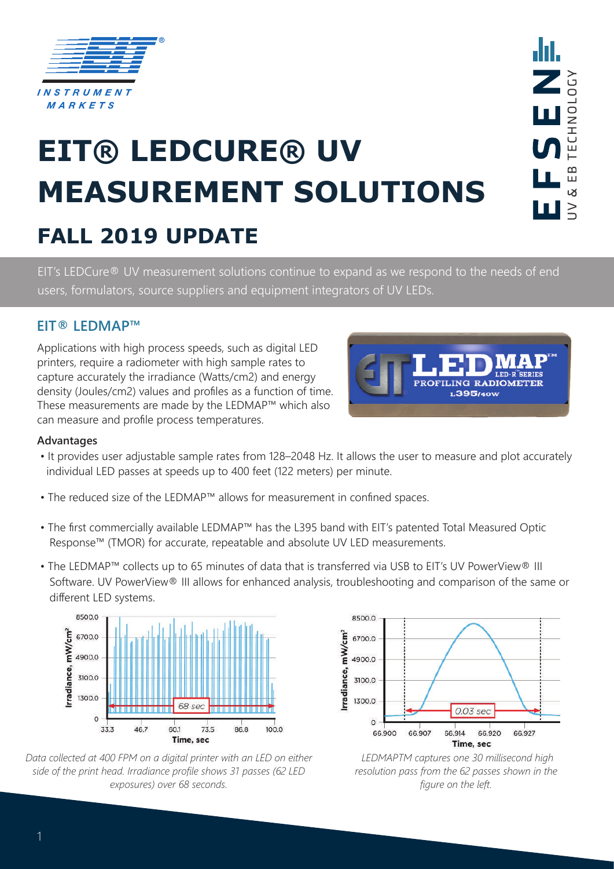

# **EIT® LEDCURE® UV MEASUREMENT SOLUTIONS**

## **FALL 2019 UPDATE**

EIT's LEDCure® UV measurement solutions continue to expand as we respond to the needs of end users, formulators, source suppliers and equipment integrators of UV LEDs.

### **EIT® LEDMAP™**

Applications with high process speeds, such as digital LED printers, require a radiometer with high sample rates to capture accurately the irradiance (Watts/cm2) and energy density (Joules/cm2) values and profiles as a function of time. These measurements are made by the LEDMAP™ which also can measure and profile process temperatures.



#### **Advantages**

- It provides user adjustable sample rates from 128–2048 Hz. It allows the user to measure and plot accurately individual LED passes at speeds up to 400 feet (122 meters) per minute.
- The reduced size of the LEDMAP™ allows for measurement in confined spaces.
- The first commercially available LEDMAP™ has the L395 band with EIT's patented Total Measured Optic Response™ (TMOR) for accurate, repeatable and absolute UV LED measurements.
- The LEDMAP™ collects up to 65 minutes of data that is transferred via USB to EIT's UV PowerView® III Software. UV PowerView® III allows for enhanced analysis, troubleshooting and comparison of the same or different LED systems.



*Data collected at 400 FPM on a digital printer with an LED on either side of the print head. Irradiance profile shows 31 passes (62 LED exposures) over 68 seconds.*



 *LEDMAPTM captures one 30 millisecond high resolution pass from the 62 passes shown in the figure on the left.*